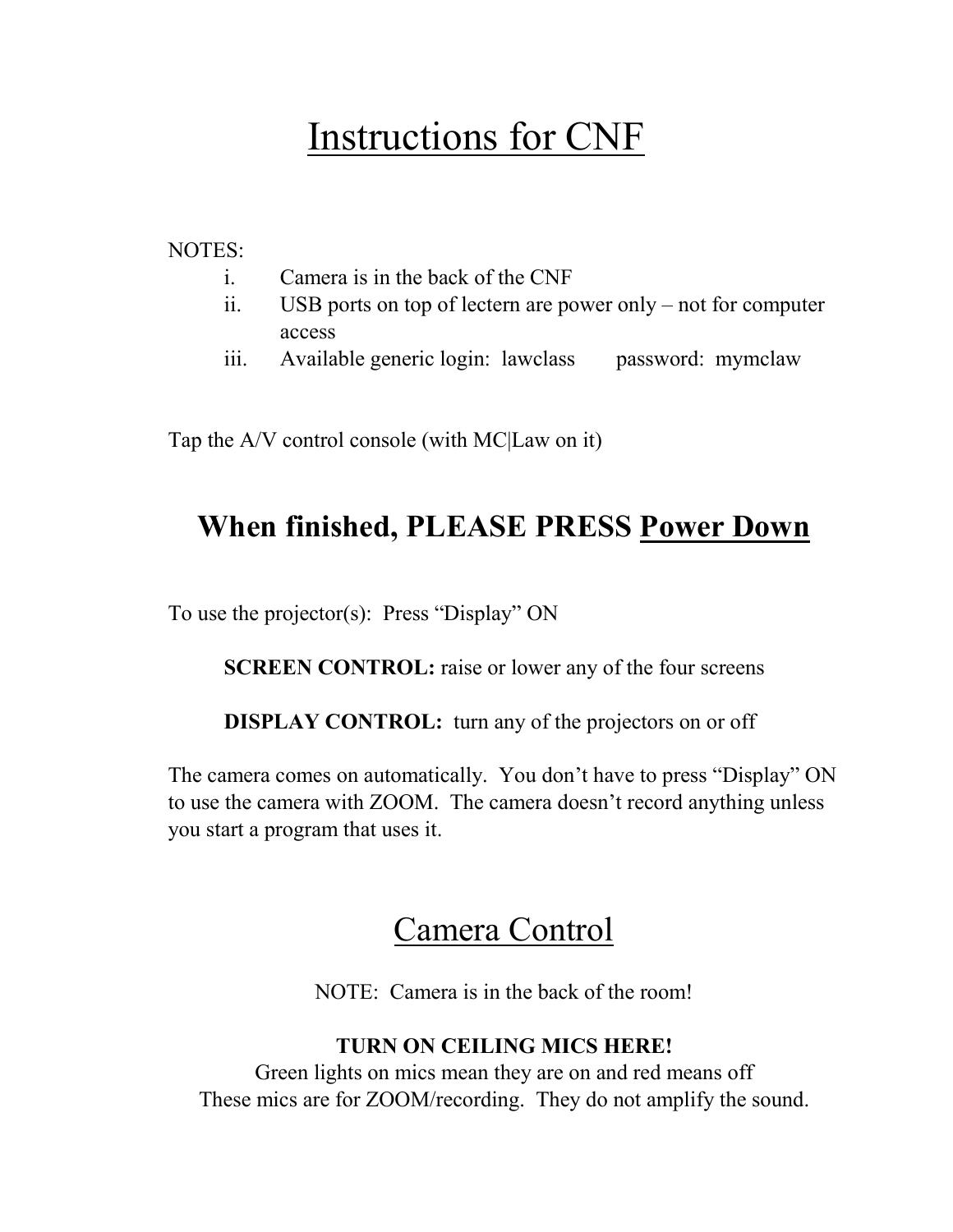# Instructions for CNF

NOTES:

- i. Camera is in the back of the CNF
- ii. USB ports on top of lectern are power only not for computer access
- iii. Available generic login: lawclass password: mymclaw

Tap the A/V control console (with MC|Law on it)

#### **When finished, PLEASE PRESS Power Down**

To use the projector(s): Press "Display" ON

**SCREEN CONTROL:** raise or lower any of the four screens

**DISPLAY CONTROL:** turn any of the projectors on or off

The camera comes on automatically. You don't have to press "Display" ON to use the camera with ZOOM. The camera doesn't record anything unless you start a program that uses it.

#### Camera Control

NOTE: Camera is in the back of the room!

#### **TURN ON CEILING MICS HERE!**

Green lights on mics mean they are on and red means off These mics are for ZOOM/recording. They do not amplify the sound.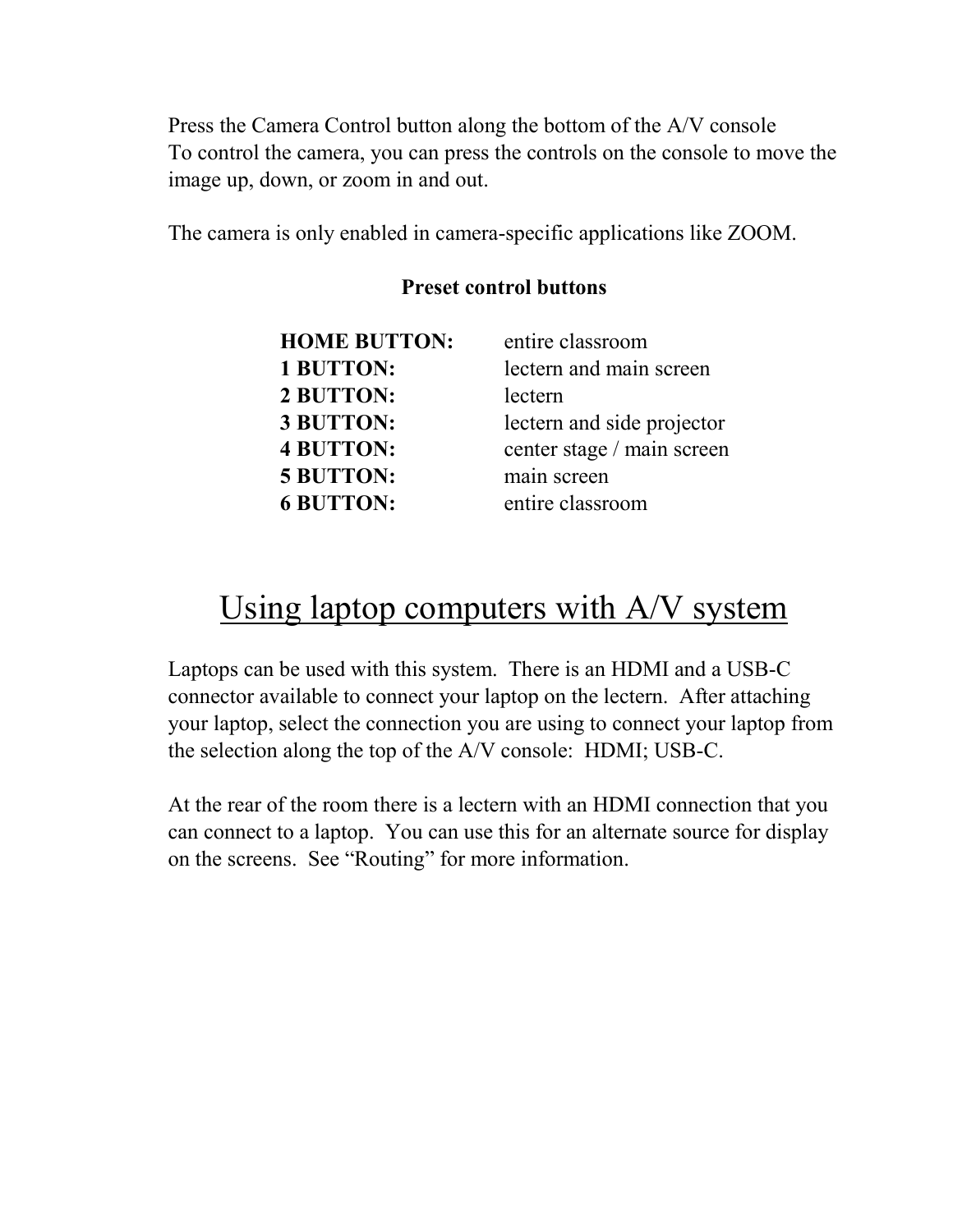Press the Camera Control button along the bottom of the A/V console To control the camera, you can press the controls on the console to move the image up, down, or zoom in and out.

The camera is only enabled in camera-specific applications like ZOOM.

#### **HOME BUTTON:** entire classroom **1 BUTTON:** lectern and main screen **2 BUTTON:** lectern **3 BUTTON:** lectern and side projector **4 BUTTON:** center stage / main screen **5 BUTTON:** main screen **6 BUTTON:** entire classroom

#### **Preset control buttons**

### Using laptop computers with A/V system

Laptops can be used with this system. There is an HDMI and a USB-C connector available to connect your laptop on the lectern. After attaching your laptop, select the connection you are using to connect your laptop from the selection along the top of the A/V console: HDMI; USB-C.

At the rear of the room there is a lectern with an HDMI connection that you can connect to a laptop. You can use this for an alternate source for display on the screens. See "Routing" for more information.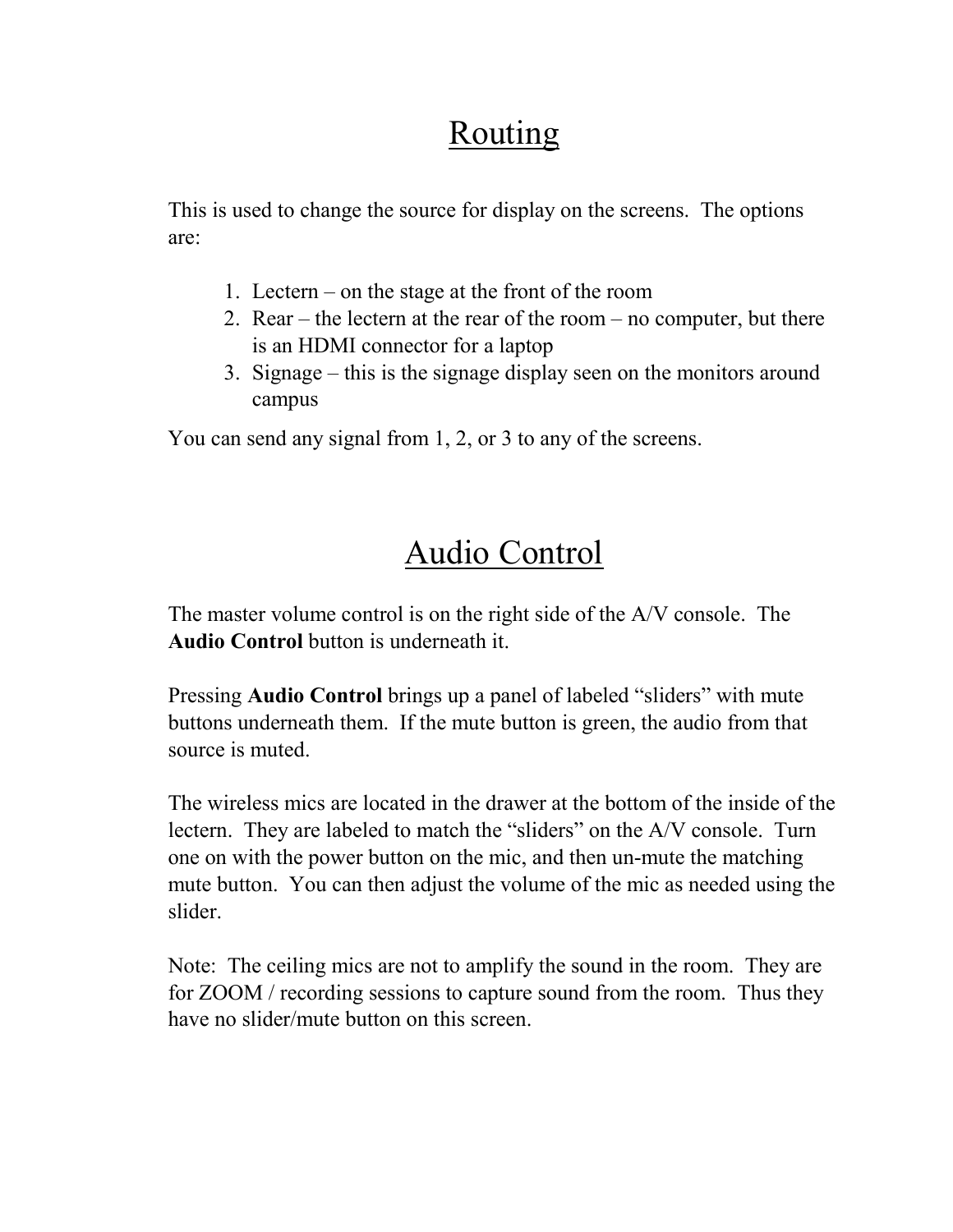# Routing

This is used to change the source for display on the screens. The options are:

- 1. Lectern on the stage at the front of the room
- 2. Rear the lectern at the rear of the room no computer, but there is an HDMI connector for a laptop
- 3. Signage this is the signage display seen on the monitors around campus

You can send any signal from 1, 2, or 3 to any of the screens.

# Audio Control

The master volume control is on the right side of the A/V console. The **Audio Control** button is underneath it.

Pressing **Audio Control** brings up a panel of labeled "sliders" with mute buttons underneath them. If the mute button is green, the audio from that source is muted.

The wireless mics are located in the drawer at the bottom of the inside of the lectern. They are labeled to match the "sliders" on the A/V console. Turn one on with the power button on the mic, and then un-mute the matching mute button. You can then adjust the volume of the mic as needed using the slider.

Note: The ceiling mics are not to amplify the sound in the room. They are for ZOOM / recording sessions to capture sound from the room. Thus they have no slider/mute button on this screen.